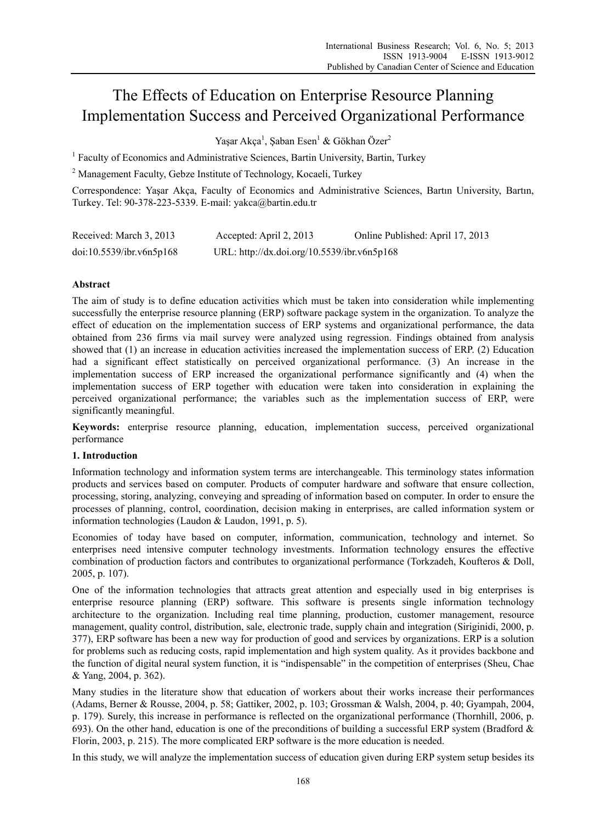# The Effects of Education on Enterprise Resource Planning Implementation Success and Perceived Organizational Performance

Yaşar Akça<sup>1</sup>, Şaban Esen<sup>1</sup> & Gökhan Özer<sup>2</sup>

<sup>1</sup> Faculty of Economics and Administrative Sciences, Bartin University, Bartin, Turkey

<sup>2</sup> Management Faculty, Gebze Institute of Technology, Kocaeli, Turkey

Correspondence: Yaşar Akça, Faculty of Economics and Administrative Sciences, Bartın University, Bartın, Turkey. Tel: 90-378-223-5339. E-mail: yakca@bartin.edu.tr

| Received: March 3, 2013  | Accepted: April 2, 2013                     | Online Published: April 17, 2013 |
|--------------------------|---------------------------------------------|----------------------------------|
| doi:10.5539/ibr.v6n5p168 | URL: http://dx.doi.org/10.5539/ibr.v6n5p168 |                                  |

# **Abstract**

The aim of study is to define education activities which must be taken into consideration while implementing successfully the enterprise resource planning (ERP) software package system in the organization. To analyze the effect of education on the implementation success of ERP systems and organizational performance, the data obtained from 236 firms via mail survey were analyzed using regression. Findings obtained from analysis showed that (1) an increase in education activities increased the implementation success of ERP. (2) Education had a significant effect statistically on perceived organizational performance. (3) An increase in the implementation success of ERP increased the organizational performance significantly and (4) when the implementation success of ERP together with education were taken into consideration in explaining the perceived organizational performance; the variables such as the implementation success of ERP, were significantly meaningful.

**Keywords:** enterprise resource planning, education, implementation success, perceived organizational performance

## **1. Introduction**

Information technology and information system terms are interchangeable. This terminology states information products and services based on computer. Products of computer hardware and software that ensure collection, processing, storing, analyzing, conveying and spreading of information based on computer. In order to ensure the processes of planning, control, coordination, decision making in enterprises, are called information system or information technologies (Laudon & Laudon, 1991, p. 5).

Economies of today have based on computer, information, communication, technology and internet. So enterprises need intensive computer technology investments. Information technology ensures the effective combination of production factors and contributes to organizational performance (Torkzadeh, Koufteros & Doll, 2005, p. 107).

One of the information technologies that attracts great attention and especially used in big enterprises is enterprise resource planning (ERP) software. This software is presents single information technology architecture to the organization. Including real time planning, production, customer management, resource management, quality control, distribution, sale, electronic trade, supply chain and integration (Siriginidi, 2000, p. 377), ERP software has been a new way for production of good and services by organizations. ERP is a solution for problems such as reducing costs, rapid implementation and high system quality. As it provides backbone and the function of digital neural system function, it is "indispensable" in the competition of enterprises (Sheu, Chae & Yang, 2004, p. 362).

Many studies in the literature show that education of workers about their works increase their performances (Adams, Berner & Rousse, 2004, p. 58; Gattiker, 2002, p. 103; Grossman & Walsh, 2004, p. 40; Gyampah, 2004, p. 179). Surely, this increase in performance is reflected on the organizational performance (Thornhill, 2006, p. 693). On the other hand, education is one of the preconditions of building a successful ERP system (Bradford  $\&$ Florin, 2003, p. 215). The more complicated ERP software is the more education is needed.

In this study, we will analyze the implementation success of education given during ERP system setup besides its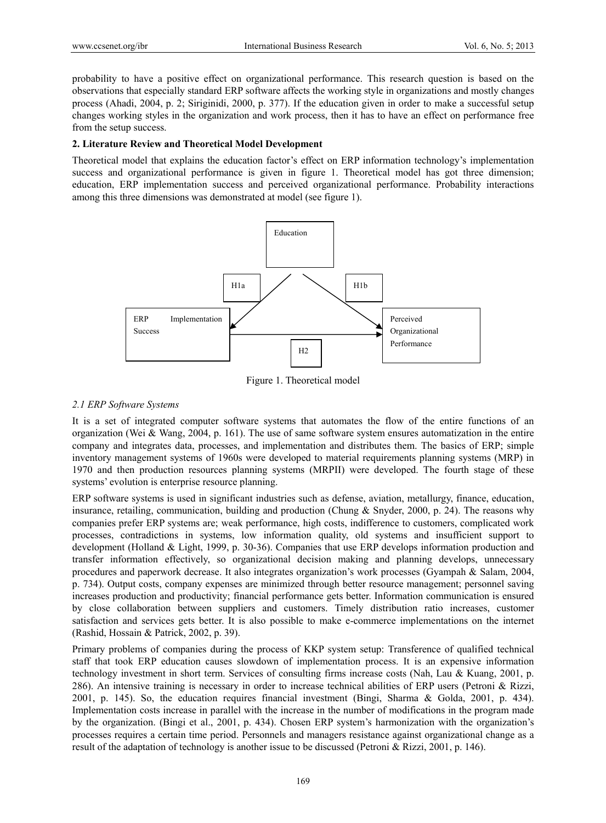probability to have a positive effect on organizational performance. This research question is based on the observations that especially standard ERP software affects the working style in organizations and mostly changes process (Ahadi, 2004, p. 2; Siriginidi, 2000, p. 377). If the education given in order to make a successful setup changes working styles in the organization and work process, then it has to have an effect on performance free from the setup success.

## **2. Literature Review and Theoretical Model Development**

Theoretical model that explains the education factor's effect on ERP information technology's implementation success and organizational performance is given in figure 1. Theoretical model has got three dimension; education, ERP implementation success and perceived organizational performance. Probability interactions among this three dimensions was demonstrated at model (see figure 1).



Figure 1. Theoretical model

# *2.1 ERP Software Systems*

It is a set of integrated computer software systems that automates the flow of the entire functions of an organization (Wei & Wang, 2004, p. 161). The use of same software system ensures automatization in the entire company and integrates data, processes, and implementation and distributes them. The basics of ERP; simple inventory management systems of 1960s were developed to material requirements planning systems (MRP) in 1970 and then production resources planning systems (MRPII) were developed. The fourth stage of these systems' evolution is enterprise resource planning.

ERP software systems is used in significant industries such as defense, aviation, metallurgy, finance, education, insurance, retailing, communication, building and production (Chung  $\&$  Snyder, 2000, p. 24). The reasons why companies prefer ERP systems are; weak performance, high costs, indifference to customers, complicated work processes, contradictions in systems, low information quality, old systems and insufficient support to development (Holland & Light, 1999, p. 30-36). Companies that use ERP develops information production and transfer information effectively, so organizational decision making and planning develops, unnecessary procedures and paperwork decrease. It also integrates organization's work processes (Gyampah & Salam, 2004, p. 734). Output costs, company expenses are minimized through better resource management; personnel saving increases production and productivity; financial performance gets better. Information communication is ensured by close collaboration between suppliers and customers. Timely distribution ratio increases, customer satisfaction and services gets better. It is also possible to make e-commerce implementations on the internet (Rashid, Hossain & Patrick, 2002, p. 39).

Primary problems of companies during the process of KKP system setup: Transference of qualified technical staff that took ERP education causes slowdown of implementation process. It is an expensive information technology investment in short term. Services of consulting firms increase costs (Nah, Lau & Kuang, 2001, p. 286). An intensive training is necessary in order to increase technical abilities of ERP users (Petroni & Rizzi, 2001, p. 145). So, the education requires financial investment (Bingi, Sharma & Golda, 2001, p. 434). Implementation costs increase in parallel with the increase in the number of modifications in the program made by the organization. (Bingi et al., 2001, p. 434). Chosen ERP system's harmonization with the organization's processes requires a certain time period. Personnels and managers resistance against organizational change as a result of the adaptation of technology is another issue to be discussed (Petroni & Rizzi, 2001, p. 146).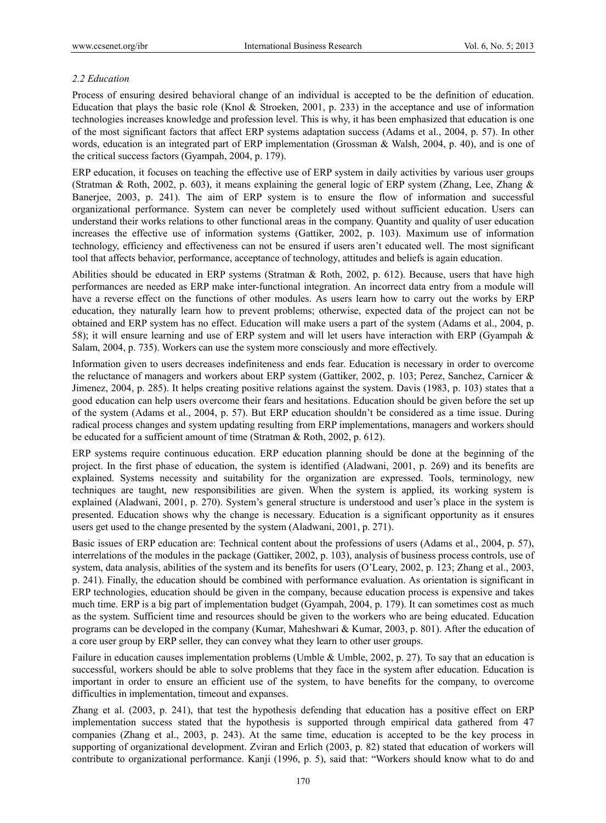# *2.2 Education*

Process of ensuring desired behavioral change of an individual is accepted to be the definition of education. Education that plays the basic role (Knol & Stroeken, 2001, p. 233) in the acceptance and use of information technologies increases knowledge and profession level. This is why, it has been emphasized that education is one of the most significant factors that affect ERP systems adaptation success (Adams et al., 2004, p. 57). In other words, education is an integrated part of ERP implementation (Grossman & Walsh, 2004, p. 40), and is one of the critical success factors (Gyampah, 2004, p. 179).

ERP education, it focuses on teaching the effective use of ERP system in daily activities by various user groups (Stratman & Roth, 2002, p. 603), it means explaining the general logic of ERP system (Zhang, Lee, Zhang & Banerjee, 2003, p. 241). The aim of ERP system is to ensure the flow of information and successful organizational performance. System can never be completely used without sufficient education. Users can understand their works relations to other functional areas in the company. Quantity and quality of user education increases the effective use of information systems (Gattiker, 2002, p. 103). Maximum use of information technology, efficiency and effectiveness can not be ensured if users aren't educated well. The most significant tool that affects behavior, performance, acceptance of technology, attitudes and beliefs is again education.

Abilities should be educated in ERP systems (Stratman & Roth, 2002, p. 612). Because, users that have high performances are needed as ERP make inter-functional integration. An incorrect data entry from a module will have a reverse effect on the functions of other modules. As users learn how to carry out the works by ERP education, they naturally learn how to prevent problems; otherwise, expected data of the project can not be obtained and ERP system has no effect. Education will make users a part of the system (Adams et al., 2004, p. 58); it will ensure learning and use of ERP system and will let users have interaction with ERP (Gyampah & Salam, 2004, p. 735). Workers can use the system more consciously and more effectively.

Information given to users decreases indefiniteness and ends fear. Education is necessary in order to overcome the reluctance of managers and workers about ERP system (Gattiker, 2002, p. 103; Perez, Sanchez, Carnicer & Jimenez, 2004, p. 285). It helps creating positive relations against the system. Davis (1983, p. 103) states that a good education can help users overcome their fears and hesitations. Education should be given before the set up of the system (Adams et al., 2004, p. 57). But ERP education shouldn't be considered as a time issue. During radical process changes and system updating resulting from ERP implementations, managers and workers should be educated for a sufficient amount of time (Stratman & Roth, 2002, p. 612).

ERP systems require continuous education. ERP education planning should be done at the beginning of the project. In the first phase of education, the system is identified (Aladwani, 2001, p. 269) and its benefits are explained. Systems necessity and suitability for the organization are expressed. Tools, terminology, new techniques are taught, new responsibilities are given. When the system is applied, its working system is explained (Aladwani, 2001, p. 270). System's general structure is understood and user's place in the system is presented. Education shows why the change is necessary. Education is a significant opportunity as it ensures users get used to the change presented by the system (Aladwani, 2001, p. 271).

Basic issues of ERP education are: Technical content about the professions of users (Adams et al., 2004, p. 57), interrelations of the modules in the package (Gattiker, 2002, p. 103), analysis of business process controls, use of system, data analysis, abilities of the system and its benefits for users (O'Leary, 2002, p. 123; Zhang et al., 2003, p. 241). Finally, the education should be combined with performance evaluation. As orientation is significant in ERP technologies, education should be given in the company, because education process is expensive and takes much time. ERP is a big part of implementation budget (Gyampah, 2004, p. 179). It can sometimes cost as much as the system. Sufficient time and resources should be given to the workers who are being educated. Education programs can be developed in the company (Kumar, Maheshwari & Kumar, 2003, p. 801). After the education of a core user group by ERP seller, they can convey what they learn to other user groups.

Failure in education causes implementation problems (Umble & Umble, 2002, p. 27). To say that an education is successful, workers should be able to solve problems that they face in the system after education. Education is important in order to ensure an efficient use of the system, to have benefits for the company, to overcome difficulties in implementation, timeout and expanses.

Zhang et al. (2003, p. 241), that test the hypothesis defending that education has a positive effect on ERP implementation success stated that the hypothesis is supported through empirical data gathered from 47 companies (Zhang et al., 2003, p. 243). At the same time, education is accepted to be the key process in supporting of organizational development. Zviran and Erlich (2003, p. 82) stated that education of workers will contribute to organizational performance. Kanji (1996, p. 5), said that: "Workers should know what to do and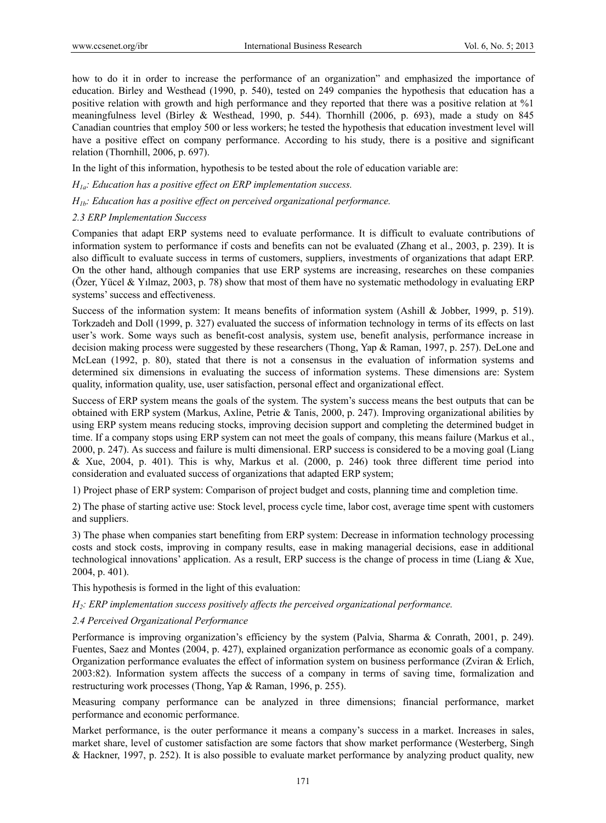how to do it in order to increase the performance of an organization" and emphasized the importance of education. Birley and Westhead (1990, p. 540), tested on 249 companies the hypothesis that education has a positive relation with growth and high performance and they reported that there was a positive relation at %1 meaningfulness level (Birley & Westhead, 1990, p. 544). Thornhill (2006, p. 693), made a study on 845 Canadian countries that employ 500 or less workers; he tested the hypothesis that education investment level will have a positive effect on company performance. According to his study, there is a positive and significant relation (Thornhill, 2006, p. 697).

In the light of this information, hypothesis to be tested about the role of education variable are:

*H1a: Education has a positive effect on ERP implementation success.* 

*H1b: Education has a positive effect on perceived organizational performance.*

#### *2.3 ERP Implementation Success*

Companies that adapt ERP systems need to evaluate performance. It is difficult to evaluate contributions of information system to performance if costs and benefits can not be evaluated (Zhang et al., 2003, p. 239). It is also difficult to evaluate success in terms of customers, suppliers, investments of organizations that adapt ERP. On the other hand, although companies that use ERP systems are increasing, researches on these companies (Özer, Yücel & Yılmaz, 2003, p. 78) show that most of them have no systematic methodology in evaluating ERP systems' success and effectiveness.

Success of the information system: It means benefits of information system (Ashill & Jobber, 1999, p. 519). Torkzadeh and Doll (1999, p. 327) evaluated the success of information technology in terms of its effects on last user's work. Some ways such as benefit-cost analysis, system use, benefit analysis, performance increase in decision making process were suggested by these researchers (Thong, Yap & Raman, 1997, p. 257). DeLone and McLean (1992, p. 80), stated that there is not a consensus in the evaluation of information systems and determined six dimensions in evaluating the success of information systems. These dimensions are: System quality, information quality, use, user satisfaction, personal effect and organizational effect.

Success of ERP system means the goals of the system. The system's success means the best outputs that can be obtained with ERP system (Markus, Axline, Petrie & Tanis, 2000, p. 247). Improving organizational abilities by using ERP system means reducing stocks, improving decision support and completing the determined budget in time. If a company stops using ERP system can not meet the goals of company, this means failure (Markus et al., 2000, p. 247). As success and failure is multi dimensional. ERP success is considered to be a moving goal (Liang & Xue, 2004, p. 401). This is why, Markus et al. (2000, p. 246) took three different time period into consideration and evaluated success of organizations that adapted ERP system;

1) Project phase of ERP system: Comparison of project budget and costs, planning time and completion time.

2) The phase of starting active use: Stock level, process cycle time, labor cost, average time spent with customers and suppliers.

3) The phase when companies start benefiting from ERP system: Decrease in information technology processing costs and stock costs, improving in company results, ease in making managerial decisions, ease in additional technological innovations' application. As a result, ERP success is the change of process in time (Liang & Xue, 2004, p. 401).

This hypothesis is formed in the light of this evaluation:

*H2: ERP implementation success positively affects the perceived organizational performance.*

#### *2.4 Perceived Organizational Performance*

Performance is improving organization's efficiency by the system (Palvia, Sharma & Conrath, 2001, p. 249). Fuentes, Saez and Montes (2004, p. 427), explained organization performance as economic goals of a company. Organization performance evaluates the effect of information system on business performance (Zviran & Erlich, 2003:82). Information system affects the success of a company in terms of saving time, formalization and restructuring work processes (Thong, Yap & Raman, 1996, p. 255).

Measuring company performance can be analyzed in three dimensions; financial performance, market performance and economic performance.

Market performance, is the outer performance it means a company's success in a market. Increases in sales, market share, level of customer satisfaction are some factors that show market performance (Westerberg, Singh & Hackner, 1997, p. 252). It is also possible to evaluate market performance by analyzing product quality, new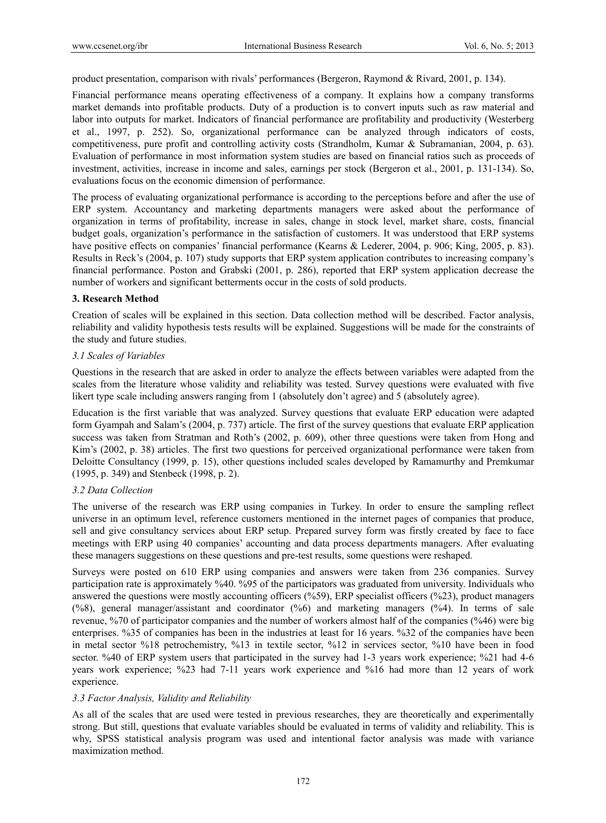product presentation, comparison with rivals' performances (Bergeron, Raymond & Rivard, 2001, p. 134).

Financial performance means operating effectiveness of a company. It explains how a company transforms market demands into profitable products. Duty of a production is to convert inputs such as raw material and labor into outputs for market. Indicators of financial performance are profitability and productivity (Westerberg et al., 1997, p. 252). So, organizational performance can be analyzed through indicators of costs, competitiveness, pure profit and controlling activity costs (Strandholm, Kumar & Subramanian, 2004, p. 63). Evaluation of performance in most information system studies are based on financial ratios such as proceeds of investment, activities, increase in income and sales, earnings per stock (Bergeron et al., 2001, p. 131-134). So, evaluations focus on the economic dimension of performance.

The process of evaluating organizational performance is according to the perceptions before and after the use of ERP system. Accountancy and marketing departments managers were asked about the performance of organization in terms of profitability, increase in sales, change in stock level, market share, costs, financial budget goals, organization's performance in the satisfaction of customers. It was understood that ERP systems have positive effects on companies' financial performance (Kearns & Lederer, 2004, p. 906; King, 2005, p. 83). Results in Reck's (2004, p. 107) study supports that ERP system application contributes to increasing company's financial performance. Poston and Grabski (2001, p. 286), reported that ERP system application decrease the number of workers and significant betterments occur in the costs of sold products.

## **3. Research Method**

Creation of scales will be explained in this section. Data collection method will be described. Factor analysis, reliability and validity hypothesis tests results will be explained. Suggestions will be made for the constraints of the study and future studies.

# *3.1 Scales of Variables*

Questions in the research that are asked in order to analyze the effects between variables were adapted from the scales from the literature whose validity and reliability was tested. Survey questions were evaluated with five likert type scale including answers ranging from 1 (absolutely don't agree) and 5 (absolutely agree).

Education is the first variable that was analyzed. Survey questions that evaluate ERP education were adapted form Gyampah and Salam's (2004, p. 737) article. The first of the survey questions that evaluate ERP application success was taken from Stratman and Roth's (2002, p. 609), other three questions were taken from Hong and Kim's (2002, p. 38) articles. The first two questions for perceived organizational performance were taken from Deloitte Consultancy (1999, p. 15), other questions included scales developed by Ramamurthy and Premkumar (1995, p. 349) and Stenbeck (1998, p. 2).

## *3.2 Data Collection*

The universe of the research was ERP using companies in Turkey. In order to ensure the sampling reflect universe in an optimum level, reference customers mentioned in the internet pages of companies that produce, sell and give consultancy services about ERP setup. Prepared survey form was firstly created by face to face meetings with ERP using 40 companies' accounting and data process departments managers. After evaluating these managers suggestions on these questions and pre-test results, some questions were reshaped.

Surveys were posted on 610 ERP using companies and answers were taken from 236 companies. Survey participation rate is approximately %40. %95 of the participators was graduated from university. Individuals who answered the questions were mostly accounting officers (%59), ERP specialist officers (%23), product managers (%8), general manager/assistant and coordinator (%6) and marketing managers (%4). In terms of sale revenue, %70 of participator companies and the number of workers almost half of the companies (%46) were big enterprises. %35 of companies has been in the industries at least for 16 years. %32 of the companies have been in metal sector %18 petrochemistry, %13 in textile sector, %12 in services sector, %10 have been in food sector. %40 of ERP system users that participated in the survey had 1-3 years work experience; %21 had 4-6 years work experience; %23 had 7-11 years work experience and %16 had more than 12 years of work experience.

# *3.3 Factor Analysis, Validity and Reliability*

As all of the scales that are used were tested in previous researches, they are theoretically and experimentally strong. But still, questions that evaluate variables should be evaluated in terms of validity and reliability. This is why, SPSS statistical analysis program was used and intentional factor analysis was made with variance maximization method.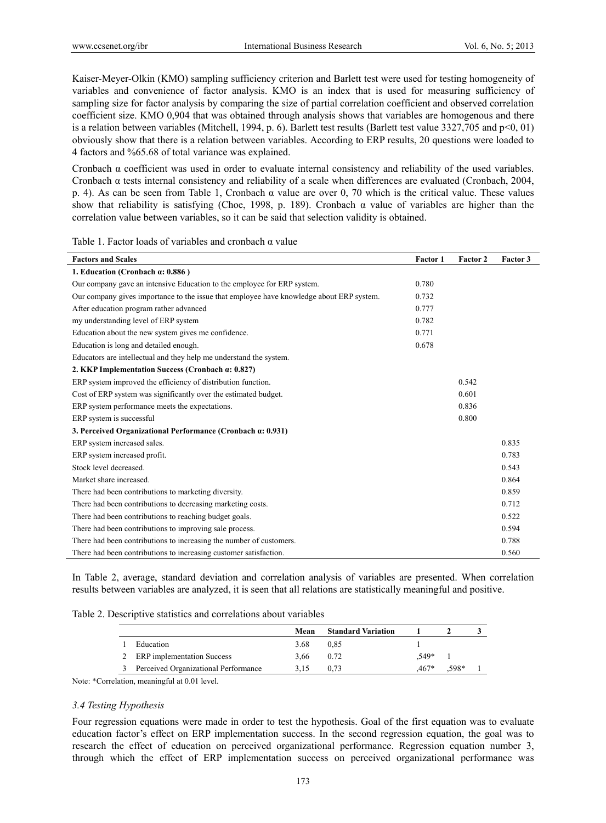Kaiser-Meyer-Olkin (KMO) sampling sufficiency criterion and Barlett test were used for testing homogeneity of variables and convenience of factor analysis. KMO is an index that is used for measuring sufficiency of sampling size for factor analysis by comparing the size of partial correlation coefficient and observed correlation coefficient size. KMO 0,904 that was obtained through analysis shows that variables are homogenous and there is a relation between variables (Mitchell, 1994, p. 6). Barlett test results (Barlett test value 3327,705 and p<0, 01) obviously show that there is a relation between variables. According to ERP results, 20 questions were loaded to 4 factors and %65.68 of total variance was explained.

Cronbach  $\alpha$  coefficient was used in order to evaluate internal consistency and reliability of the used variables. Cronbach α tests internal consistency and reliability of a scale when differences are evaluated (Cronbach, 2004, p. 4). As can be seen from Table 1, Cronbach  $\alpha$  value are over 0, 70 which is the critical value. These values show that reliability is satisfying (Choe, 1998, p. 189). Cronbach  $\alpha$  value of variables are higher than the correlation value between variables, so it can be said that selection validity is obtained.

Table 1. Factor loads of variables and cronbach α value

| <b>Factors and Scales</b>                                                                | <b>Factor 1</b> | Factor 2 | Factor 3 |
|------------------------------------------------------------------------------------------|-----------------|----------|----------|
| 1. Education (Cronbach $\alpha$ : 0.886)                                                 |                 |          |          |
| Our company gave an intensive Education to the employee for ERP system.                  | 0.780           |          |          |
| Our company gives importance to the issue that employee have knowledge about ERP system. | 0.732           |          |          |
| After education program rather advanced                                                  | 0.777           |          |          |
| my understanding level of ERP system                                                     | 0.782           |          |          |
| Education about the new system gives me confidence.                                      | 0.771           |          |          |
| Education is long and detailed enough.                                                   | 0.678           |          |          |
| Educators are intellectual and they help me understand the system.                       |                 |          |          |
| 2. KKP Implementation Success (Cronbach $\alpha$ : 0.827)                                |                 |          |          |
| ERP system improved the efficiency of distribution function.                             |                 | 0.542    |          |
| Cost of ERP system was significantly over the estimated budget.                          |                 | 0.601    |          |
| ERP system performance meets the expectations.                                           |                 | 0.836    |          |
| ERP system is successful                                                                 |                 | 0.800    |          |
| 3. Perceived Organizational Performance (Cronbach a: 0.931)                              |                 |          |          |
| ERP system increased sales.                                                              |                 |          | 0.835    |
| ERP system increased profit.                                                             |                 |          | 0.783    |
| Stock level decreased.                                                                   |                 |          | 0.543    |
| Market share increased.                                                                  |                 |          | 0.864    |
| There had been contributions to marketing diversity.                                     |                 |          | 0.859    |
| There had been contributions to decreasing marketing costs.                              |                 |          | 0.712    |
| There had been contributions to reaching budget goals.                                   |                 |          | 0.522    |
| There had been contributions to improving sale process.                                  |                 |          | 0.594    |
| There had been contributions to increasing the number of customers.                      |                 |          | 0.788    |
| There had been contributions to increasing customer satisfaction.                        |                 |          | 0.560    |

In Table 2, average, standard deviation and correlation analysis of variables are presented. When correlation results between variables are analyzed, it is seen that all relations are statistically meaningful and positive.

| Table 2. Descriptive statistics and correlations about variables |
|------------------------------------------------------------------|
|------------------------------------------------------------------|

|                                      | Mean | <b>Standard Variation</b> |        |      |  |
|--------------------------------------|------|---------------------------|--------|------|--|
| Education                            | 3.68 | 0.85                      |        |      |  |
| <b>ERP</b> implementation Success    | 3.66 | 0.72                      | .549*  |      |  |
| Perceived Organizational Performance | 3.15 | 0.73                      | $467*$ | 598* |  |

Note: \*Correlation, meaningful at 0.01 level.

## *3.4 Testing Hypothesis*

Four regression equations were made in order to test the hypothesis. Goal of the first equation was to evaluate education factor's effect on ERP implementation success. In the second regression equation, the goal was to research the effect of education on perceived organizational performance. Regression equation number 3, through which the effect of ERP implementation success on perceived organizational performance was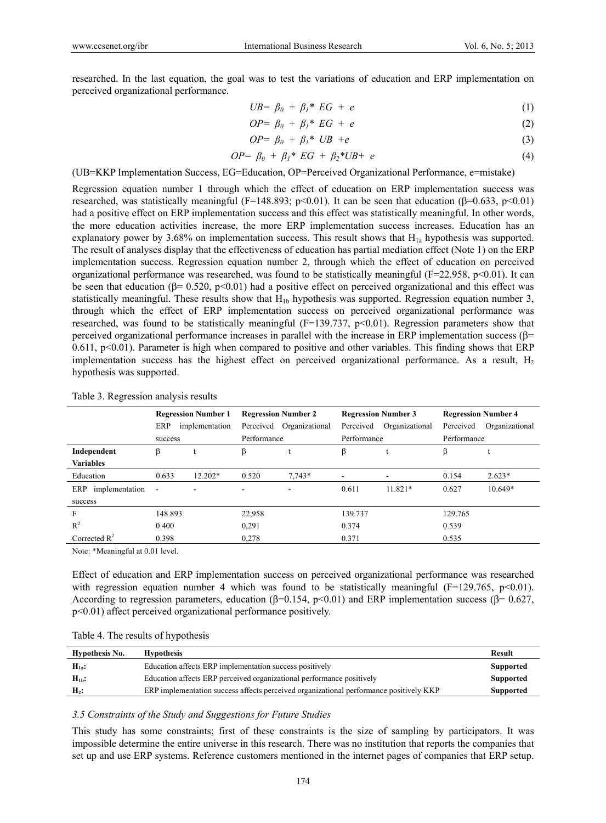researched. In the last equation, the goal was to test the variations of education and ERP implementation on perceived organizational performance.

$$
UB = \beta_0 + \beta_1^* EG + e \tag{1}
$$

$$
OP = \beta_0 + \beta_1^* EG + e \tag{2}
$$

$$
OP = \beta_0 + \beta_1^* UB + e \tag{3}
$$

$$
OP = \beta_0 + \beta_1^* EG + \beta_2^*UB + e \tag{4}
$$

(UB=KKP Implementation Success, EG=Education, OP=Perceived Organizational Performance, e=mistake)

Regression equation number 1 through which the effect of education on ERP implementation success was researched, was statistically meaningful (F=148.893; p<0.01). It can be seen that education ( $\beta$ =0.633, p<0.01) had a positive effect on ERP implementation success and this effect was statistically meaningful. In other words, the more education activities increase, the more ERP implementation success increases. Education has an explanatory power by 3.68% on implementation success. This result shows that  $H_{1a}$  hypothesis was supported. The result of analyses display that the effectiveness of education has partial mediation effect (Note 1) on the ERP implementation success. Regression equation number 2, through which the effect of education on perceived organizational performance was researched, was found to be statistically meaningful (F=22.958, p<0.01). It can be seen that education ( $\beta$ = 0.520, p<0.01) had a positive effect on perceived organizational and this effect was statistically meaningful. These results show that  $H_{1b}$  hypothesis was supported. Regression equation number 3, through which the effect of ERP implementation success on perceived organizational performance was researched, was found to be statistically meaningful  $(F=139.737, p<0.01)$ . Regression parameters show that perceived organizational performance increases in parallel with the increase in ERP implementation success ( $\beta$ = 0.611,  $p<0.01$ ). Parameter is high when compared to positive and other variables. This finding shows that ERP implementation success has the highest effect on perceived organizational performance. As a result,  $H_2$ hypothesis was supported.

|                       | <b>Regression Number 1</b> |                          | <b>Regression Number 2</b> |                | <b>Regression Number 3</b> |                | <b>Regression Number 4</b> |                |
|-----------------------|----------------------------|--------------------------|----------------------------|----------------|----------------------------|----------------|----------------------------|----------------|
|                       | ERP                        | implementation           | Perceived                  | Organizational | Perceived                  | Organizational | Perceived                  | Organizational |
|                       | success                    |                          | Performance                |                | Performance                |                | Performance                |                |
| Independent           | β                          |                          | β                          |                | β                          |                | β                          |                |
| <b>Variables</b>      |                            |                          |                            |                |                            |                |                            |                |
| Education             | 0.633                      | $12.202*$                | 0.520                      | $7.743*$       |                            |                | 0.154                      | $2.623*$       |
| implementation<br>ERP | $\overline{\phantom{a}}$   | $\overline{\phantom{a}}$ |                            | ۰.             | 0.611                      | $11.821*$      | 0.627                      | $10.649*$      |
| success               |                            |                          |                            |                |                            |                |                            |                |
| F                     | 148.893                    |                          | 22,958                     |                | 139.737                    |                | 129.765                    |                |
| $R^2$                 | 0.400                      |                          | 0,291                      |                | 0.374                      |                | 0.539                      |                |
| Corrected $R^2$       | 0.398                      |                          | 0,278                      |                | 0.371                      |                | 0.535                      |                |

Table 3. Regression analysis results

Note: \*Meaningful at 0.01 level.

Effect of education and ERP implementation success on perceived organizational performance was researched with regression equation number 4 which was found to be statistically meaningful ( $F=129.765$ ,  $p<0.01$ ). According to regression parameters, education ( $\beta$ =0.154, p<0.01) and ERP implementation success ( $\beta$ = 0.627, p<0.01) affect perceived organizational performance positively.

|  |  | Table 4. The results of hypothesis |
|--|--|------------------------------------|
|--|--|------------------------------------|

| Hypothesis No.   | <b>Hypothesis</b>                                                                      | Result           |
|------------------|----------------------------------------------------------------------------------------|------------------|
| $H_{1a}:$        | Education affects ERP implementation success positively                                | <b>Supported</b> |
| $H_{1h}$ :       | Education affects ERP perceived organizational performance positively                  | <b>Supported</b> |
| H <sub>2</sub> : | ERP implementation success affects perceived organizational performance positively KKP | Supported        |

#### *3.5 Constraints of the Study and Suggestions for Future Studies*

This study has some constraints; first of these constraints is the size of sampling by participators. It was impossible determine the entire universe in this research. There was no institution that reports the companies that set up and use ERP systems. Reference customers mentioned in the internet pages of companies that ERP setup.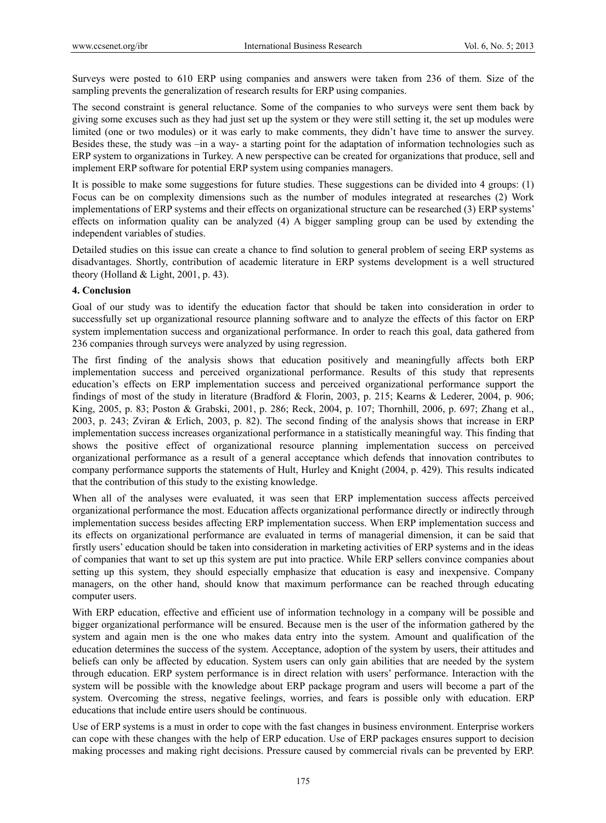Surveys were posted to 610 ERP using companies and answers were taken from 236 of them. Size of the sampling prevents the generalization of research results for ERP using companies.

The second constraint is general reluctance. Some of the companies to who surveys were sent them back by giving some excuses such as they had just set up the system or they were still setting it, the set up modules were limited (one or two modules) or it was early to make comments, they didn't have time to answer the survey. Besides these, the study was –in a way- a starting point for the adaptation of information technologies such as ERP system to organizations in Turkey. A new perspective can be created for organizations that produce, sell and implement ERP software for potential ERP system using companies managers.

It is possible to make some suggestions for future studies. These suggestions can be divided into 4 groups: (1) Focus can be on complexity dimensions such as the number of modules integrated at researches (2) Work implementations of ERP systems and their effects on organizational structure can be researched (3) ERP systems' effects on information quality can be analyzed (4) A bigger sampling group can be used by extending the independent variables of studies.

Detailed studies on this issue can create a chance to find solution to general problem of seeing ERP systems as disadvantages. Shortly, contribution of academic literature in ERP systems development is a well structured theory (Holland  $&$  Light, 2001, p. 43).

## **4. Conclusion**

Goal of our study was to identify the education factor that should be taken into consideration in order to successfully set up organizational resource planning software and to analyze the effects of this factor on ERP system implementation success and organizational performance. In order to reach this goal, data gathered from 236 companies through surveys were analyzed by using regression.

The first finding of the analysis shows that education positively and meaningfully affects both ERP implementation success and perceived organizational performance. Results of this study that represents education's effects on ERP implementation success and perceived organizational performance support the findings of most of the study in literature (Bradford & Florin, 2003, p. 215; Kearns & Lederer, 2004, p. 906; King, 2005, p. 83; Poston & Grabski, 2001, p. 286; Reck, 2004, p. 107; Thornhill, 2006, p. 697; Zhang et al., 2003, p. 243; Zviran & Erlich, 2003, p. 82). The second finding of the analysis shows that increase in ERP implementation success increases organizational performance in a statistically meaningful way. This finding that shows the positive effect of organizational resource planning implementation success on perceived organizational performance as a result of a general acceptance which defends that innovation contributes to company performance supports the statements of Hult, Hurley and Knight (2004, p. 429). This results indicated that the contribution of this study to the existing knowledge.

When all of the analyses were evaluated, it was seen that ERP implementation success affects perceived organizational performance the most. Education affects organizational performance directly or indirectly through implementation success besides affecting ERP implementation success. When ERP implementation success and its effects on organizational performance are evaluated in terms of managerial dimension, it can be said that firstly users' education should be taken into consideration in marketing activities of ERP systems and in the ideas of companies that want to set up this system are put into practice. While ERP sellers convince companies about setting up this system, they should especially emphasize that education is easy and inexpensive. Company managers, on the other hand, should know that maximum performance can be reached through educating computer users.

With ERP education, effective and efficient use of information technology in a company will be possible and bigger organizational performance will be ensured. Because men is the user of the information gathered by the system and again men is the one who makes data entry into the system. Amount and qualification of the education determines the success of the system. Acceptance, adoption of the system by users, their attitudes and beliefs can only be affected by education. System users can only gain abilities that are needed by the system through education. ERP system performance is in direct relation with users' performance. Interaction with the system will be possible with the knowledge about ERP package program and users will become a part of the system. Overcoming the stress, negative feelings, worries, and fears is possible only with education. ERP educations that include entire users should be continuous.

Use of ERP systems is a must in order to cope with the fast changes in business environment. Enterprise workers can cope with these changes with the help of ERP education. Use of ERP packages ensures support to decision making processes and making right decisions. Pressure caused by commercial rivals can be prevented by ERP.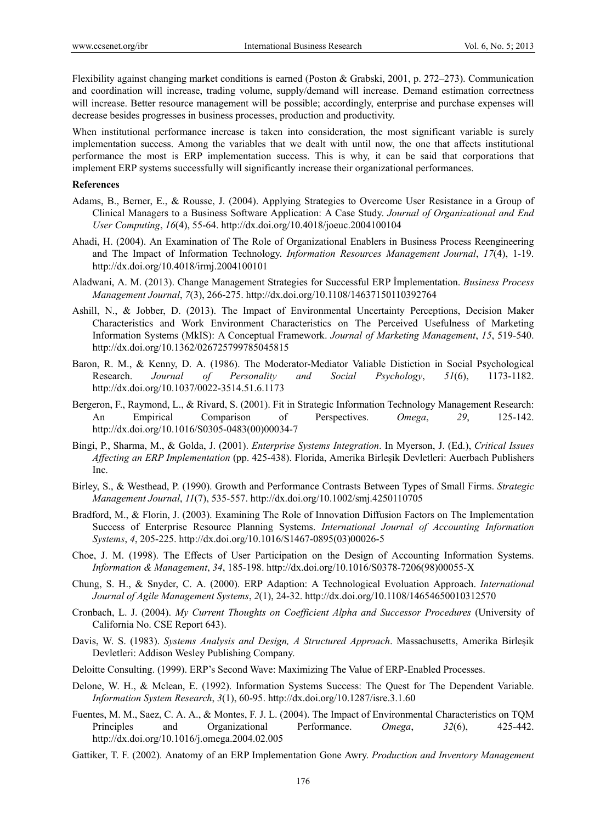Flexibility against changing market conditions is earned (Poston & Grabski, 2001, p. 272–273). Communication and coordination will increase, trading volume, supply/demand will increase. Demand estimation correctness will increase. Better resource management will be possible; accordingly, enterprise and purchase expenses will decrease besides progresses in business processes, production and productivity.

When institutional performance increase is taken into consideration, the most significant variable is surely implementation success. Among the variables that we dealt with until now, the one that affects institutional performance the most is ERP implementation success. This is why, it can be said that corporations that implement ERP systems successfully will significantly increase their organizational performances.

#### **References**

- Adams, B., Berner, E., & Rousse, J. (2004). Applying Strategies to Overcome User Resistance in a Group of Clinical Managers to a Business Software Application: A Case Study. *Journal of Organizational and End User Computing*, *16*(4), 55-64. http://dx.doi.org/10.4018/joeuc.2004100104
- Ahadi, H. (2004). An Examination of The Role of Organizational Enablers in Business Process Reengineering and The Impact of Information Technology. *Information Resources Management Journal*, *17*(4), 1-19. http://dx.doi.org/10.4018/irmj.2004100101
- Aladwani, A. M. (2013). Change Management Strategies for Successful ERP İmplementation. *Business Process Management Journal*, *7*(3), 266-275. http://dx.doi.org/10.1108/14637150110392764
- Ashill, N., & Jobber, D. (2013). The Impact of Environmental Uncertainty Perceptions, Decision Maker Characteristics and Work Environment Characteristics on The Perceived Usefulness of Marketing Information Systems (MkIS): A Conceptual Framework. *Journal of Marketing Management*, *15*, 519-540. http://dx.doi.org/10.1362/026725799785045815
- Baron, R. M., & Kenny, D. A. (1986). The Moderator-Mediator Valiable Distiction in Social Psychological Research. *Journal of Personality and Social Psychology*, *51*(6), 1173-1182. http://dx.doi.org/10.1037/0022-3514.51.6.1173
- Bergeron, F., Raymond, L., & Rivard, S. (2001). Fit in Strategic Information Technology Management Research: An Empirical Comparison of Perspectives. *Omega*, *29*, 125-142. http://dx.doi.org/10.1016/S0305-0483(00)00034-7
- Bingi, P., Sharma, M., & Golda, J. (2001). *Enterprise Systems Integration*. In Myerson, J. (Ed.), *Critical Issues Affecting an ERP Implementation* (pp. 425-438). Florida, Amerika Birleşik Devletleri: Auerbach Publishers Inc.
- Birley, S., & Westhead, P. (1990). Growth and Performance Contrasts Between Types of Small Firms. *Strategic Management Journal*, *11*(7), 535-557. http://dx.doi.org/10.1002/smj.4250110705
- Bradford, M., & Florin, J. (2003). Examining The Role of Innovation Diffusion Factors on The Implementation Success of Enterprise Resource Planning Systems. *International Journal of Accounting Information Systems*, *4*, 205-225. http://dx.doi.org/10.1016/S1467-0895(03)00026-5
- Choe, J. M. (1998). The Effects of User Participation on the Design of Accounting Information Systems. *Information & Management*, *34*, 185-198. http://dx.doi.org/10.1016/S0378-7206(98)00055-X
- Chung, S. H., & Snyder, C. A. (2000). ERP Adaption: A Technological Evoluation Approach. *International Journal of Agile Management Systems*, *2*(1), 24-32. http://dx.doi.org/10.1108/14654650010312570
- Cronbach, L. J. (2004). *My Current Thoughts on Coefficient Alpha and Successor Procedures* (University of California No. CSE Report 643).
- Davis, W. S. (1983). *Systems Analysis and Design, A Structured Approach*. Massachusetts, Amerika Birleşik Devletleri: Addison Wesley Publishing Company.
- Deloitte Consulting. (1999). ERP's Second Wave: Maximizing The Value of ERP-Enabled Processes.
- Delone, W. H., & Mclean, E. (1992). Information Systems Success: The Quest for The Dependent Variable. *Information System Research*, *3*(1), 60-95. http://dx.doi.org/10.1287/isre.3.1.60
- Fuentes, M. M., Saez, C. A. A., & Montes, F. J. L. (2004). The Impact of Environmental Characteristics on TQM Principles and Organizational Performance. *Omega*, *32*(6), 425-442. http://dx.doi.org/10.1016/j.omega.2004.02.005
- Gattiker, T. F. (2002). Anatomy of an ERP Implementation Gone Awry. *Production and Inventory Management*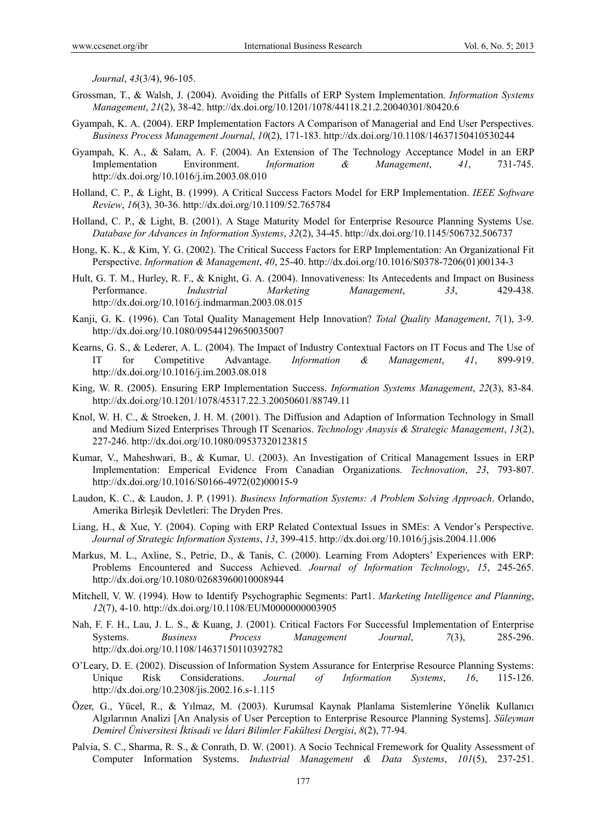*Journal*, *43*(3/4), 96-105.

- Grossman, T., & Walsh, J. (2004). Avoiding the Pitfalls of ERP System Implementation. *Information Systems Management*, *21*(2), 38-42. http://dx.doi.org/10.1201/1078/44118.21.2.20040301/80420.6
- Gyampah, K. A. (2004). ERP Implementation Factors A Comparison of Managerial and End User Perspectives. *Business Process Management Journal*, *10*(2), 171-183. http://dx.doi.org/10.1108/14637150410530244
- Gyampah, K. A., & Salam, A. F. (2004). An Extension of The Technology Acceptance Model in an ERP Implementation Environment. *Information & Management*, *41*, 731-745. http://dx.doi.org/10.1016/j.im.2003.08.010
- Holland, C. P., & Light, B. (1999). A Critical Success Factors Model for ERP Implementation. *IEEE Software Review*, *16*(3), 30-36. http://dx.doi.org/10.1109/52.765784
- Holland, C. P., & Light, B. (2001). A Stage Maturity Model for Enterprise Resource Planning Systems Use. *Database for Advances in Information Systems*, *32*(2), 34-45. http://dx.doi.org/10.1145/506732.506737
- Hong, K. K., & Kim, Y. G. (2002). The Critical Success Factors for ERP Implementation: An Organizational Fit Perspective. *Information & Management*, *40*, 25-40. http://dx.doi.org/10.1016/S0378-7206(01)00134-3
- Hult, G. T. M., Hurley, R. F., & Knight, G. A. (2004). Innovativeness: Its Antecedents and Impact on Business Performance. *Industrial Marketing Management*, *33*, 429-438. http://dx.doi.org/10.1016/j.indmarman.2003.08.015
- Kanji, G. K. (1996). Can Total Quality Management Help Innovation? *Total Quality Management*, *7*(1), 3-9. http://dx.doi.org/10.1080/09544129650035007
- Kearns, G. S., & Lederer, A. L. (2004). The Impact of Industry Contextual Factors on IT Focus and The Use of IT for Competitive Advantage. *Information & Management*, *41*, 899-919. http://dx.doi.org/10.1016/j.im.2003.08.018
- King, W. R. (2005). Ensuring ERP Implementation Success. *Information Systems Management*, *22*(3), 83-84. http://dx.doi.org/10.1201/1078/45317.22.3.20050601/88749.11
- Knol, W. H. C., & Stroeken, J. H. M. (2001). The Diffusion and Adaption of Information Technology in Small and Medium Sized Enterprises Through IT Scenarios. *Technology Anaysis & Strategic Management*, *13*(2), 227-246. http://dx.doi.org/10.1080/09537320123815
- Kumar, V., Maheshwari, B., & Kumar, U. (2003). An Investigation of Critical Management Issues in ERP Implementation: Emperical Evidence From Canadian Organizations. *Technovation*, *23*, 793-807. http://dx.doi.org/10.1016/S0166-4972(02)00015-9
- Laudon, K. C., & Laudon, J. P. (1991). *Business Information Systems: A Problem Solving Approach*. Orlando, Amerika Birleşik Devletleri: The Dryden Pres.
- Liang, H., & Xue, Y. (2004). Coping with ERP Related Contextual Issues in SMEs: A Vendor's Perspective. *Journal of Strategic Information Systems*, *13*, 399-415. http://dx.doi.org/10.1016/j.jsis.2004.11.006
- Markus, M. L., Axline, S., Petrie, D., & Tanis, C. (2000). Learning From Adopters' Experiences with ERP: Problems Encountered and Success Achieved. *Journal of Information Technology*, *15*, 245-265. http://dx.doi.org/10.1080/02683960010008944
- Mitchell, V. W. (1994). How to Identify Psychographic Segments: Part1. *Marketing Intelligence and Planning*, *12*(7), 4-10. http://dx.doi.org/10.1108/EUM0000000003905
- Nah, F. F. H., Lau, J. L. S., & Kuang, J. (2001). Critical Factors For Successful Implementation of Enterprise Systems. *Business Process Management Journal*, *7*(3), 285-296. http://dx.doi.org/10.1108/14637150110392782
- O'Leary, D. E. (2002). Discussion of Information System Assurance for Enterprise Resource Planning Systems: Unique Risk Considerations. *Journal of Information Systems*, *16*, 115-126. http://dx.doi.org/10.2308/jis.2002.16.s-1.115
- Özer, G., Yücel, R., & Yılmaz, M. (2003). Kurumsal Kaynak Planlama Sistemlerine Yönelik Kullanıcı Algılarının Analizi [An Analysis of User Perception to Enterprise Resource Planning Systems]. *Süleyman Demirel Üniversitesi İktisadi ve İdari Bilimler Fakültesi Dergisi*, *8*(2), 77-94.
- Palvia, S. C., Sharma, R. S., & Conrath, D. W. (2001). A Socio Technical Fremework for Quality Assessment of Computer Information Systems. *Industrial Management & Data Systems*, *101*(5), 237-251.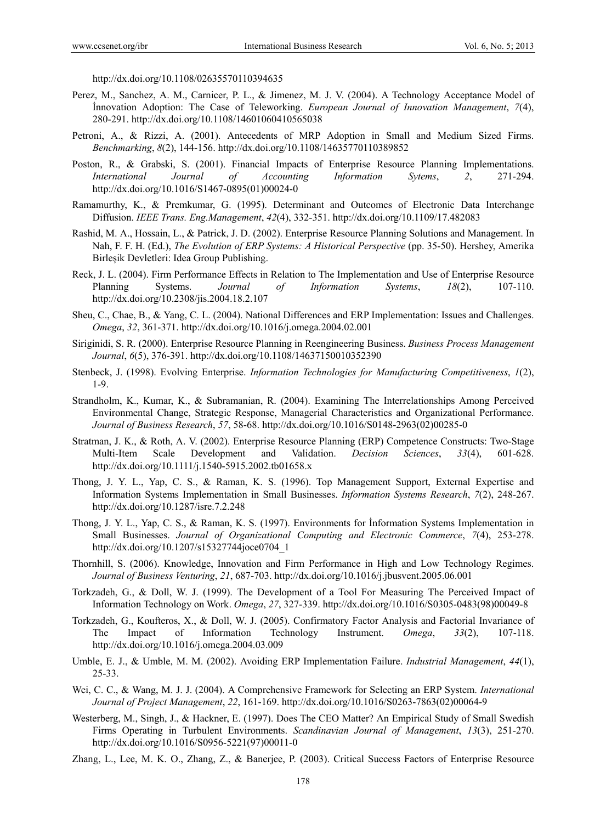http://dx.doi.org/10.1108/02635570110394635

- Perez, M., Sanchez, A. M., Carnicer, P. L., & Jimenez, M. J. V. (2004). A Technology Acceptance Model of İnnovation Adoption: The Case of Teleworking. *European Journal of Innovation Management*, *7*(4), 280-291. http://dx.doi.org/10.1108/14601060410565038
- Petroni, A., & Rizzi, A. (2001). Antecedents of MRP Adoption in Small and Medium Sized Firms. *Benchmarking*, *8*(2), 144-156. http://dx.doi.org/10.1108/14635770110389852
- Poston, R., & Grabski, S. (2001). Financial Impacts of Enterprise Resource Planning Implementations. *International Journal of Accounting Information Sytems*, *2*, 271-294. http://dx.doi.org/10.1016/S1467-0895(01)00024-0
- Ramamurthy, K., & Premkumar, G. (1995). Determinant and Outcomes of Electronic Data Interchange Diffusion. *IEEE Trans. Eng.Management*, *42*(4), 332-351. http://dx.doi.org/10.1109/17.482083
- Rashid, M. A., Hossain, L., & Patrick, J. D. (2002). Enterprise Resource Planning Solutions and Management. In Nah, F. F. H. (Ed.), *The Evolution of ERP Systems: A Historical Perspective* (pp. 35-50). Hershey, Amerika Birleşik Devletleri: Idea Group Publishing.
- Reck, J. L. (2004). Firm Performance Effects in Relation to The Implementation and Use of Enterprise Resource Planning Systems. *Journal of Information Systems*, *18*(2), 107-110. http://dx.doi.org/10.2308/jis.2004.18.2.107
- Sheu, C., Chae, B., & Yang, C. L. (2004). National Differences and ERP Implementation: Issues and Challenges. *Omega*, *32*, 361-371. http://dx.doi.org/10.1016/j.omega.2004.02.001
- Siriginidi, S. R. (2000). Enterprise Resource Planning in Reengineering Business. *Business Process Management Journal*, *6*(5), 376-391. http://dx.doi.org/10.1108/14637150010352390
- Stenbeck, J. (1998). Evolving Enterprise. *Information Technologies for Manufacturing Competitiveness*, *1*(2), 1-9.
- Strandholm, K., Kumar, K., & Subramanian, R. (2004). Examining The Interrelationships Among Perceived Environmental Change, Strategic Response, Managerial Characteristics and Organizational Performance. *Journal of Business Research*, *57*, 58-68. http://dx.doi.org/10.1016/S0148-2963(02)00285-0
- Stratman, J. K., & Roth, A. V. (2002). Enterprise Resource Planning (ERP) Competence Constructs: Two-Stage Multi-Item Scale Development and Validation. *Decision Sciences*, *33*(4), 601-628. http://dx.doi.org/10.1111/j.1540-5915.2002.tb01658.x
- Thong, J. Y. L., Yap, C. S., & Raman, K. S. (1996). Top Management Support, External Expertise and Information Systems Implementation in Small Businesses. *Information Systems Research*, *7*(2), 248-267. http://dx.doi.org/10.1287/isre.7.2.248
- Thong, J. Y. L., Yap, C. S., & Raman, K. S. (1997). Environments for İnformation Systems Implementation in Small Businesses. *Journal of Organizational Computing and Electronic Commerce*, *7*(4), 253-278. http://dx.doi.org/10.1207/s15327744joce0704\_1
- Thornhill, S. (2006). Knowledge, Innovation and Firm Performance in High and Low Technology Regimes. *Journal of Business Venturing*, *21*, 687-703. http://dx.doi.org/10.1016/j.jbusvent.2005.06.001
- Torkzadeh, G., & Doll, W. J. (1999). The Development of a Tool For Measuring The Perceived Impact of Information Technology on Work. *Omega*, *27*, 327-339. http://dx.doi.org/10.1016/S0305-0483(98)00049-8
- Torkzadeh, G., Koufteros, X., & Doll, W. J. (2005). Confirmatory Factor Analysis and Factorial Invariance of The Impact of Information Technology Instrument. *Omega*, *33*(2), 107-118. http://dx.doi.org/10.1016/j.omega.2004.03.009
- Umble, E. J., & Umble, M. M. (2002). Avoiding ERP Implementation Failure. *Industrial Management*, *44*(1), 25-33.
- Wei, C. C., & Wang, M. J. J. (2004). A Comprehensive Framework for Selecting an ERP System. *International Journal of Project Management*, *22*, 161-169. http://dx.doi.org/10.1016/S0263-7863(02)00064-9
- Westerberg, M., Singh, J., & Hackner, E. (1997). Does The CEO Matter? An Empirical Study of Small Swedish Firms Operating in Turbulent Environments. *Scandinavian Journal of Management*, *13*(3), 251-270. http://dx.doi.org/10.1016/S0956-5221(97)00011-0
- Zhang, L., Lee, M. K. O., Zhang, Z., & Banerjee, P. (2003). Critical Success Factors of Enterprise Resource